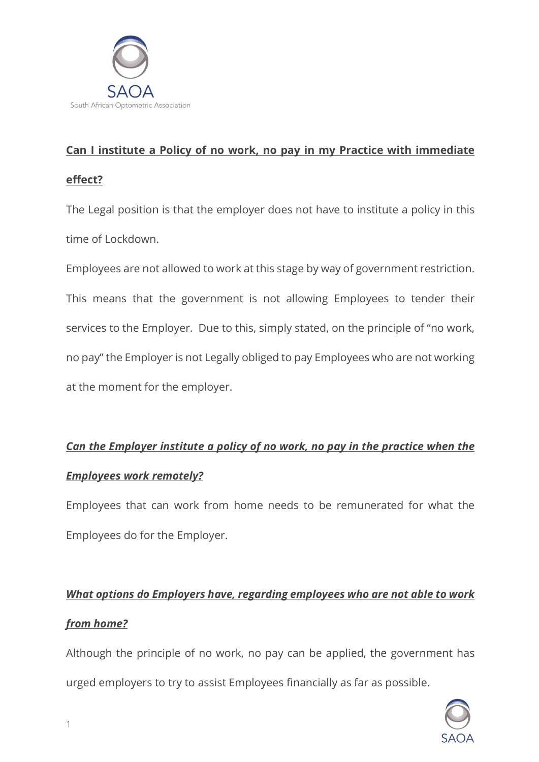

### **Can I institute a Policy of no work, no pay in my Practice with immediate**

### **effect?**

The Legal position is that the employer does not have to institute a policy in this time of Lockdown.

Employees are not allowed to work at this stage by way of government restriction. This means that the government is not allowing Employees to tender their services to the Employer. Due to this, simply stated, on the principle of "no work, no pay" the Employer is not Legally obliged to pay Employees who are not working at the moment for the employer.

### *Can the Employer institute a policy of no work, no pay in the practice when the*

### *Employees work remotely?*

Employees that can work from home needs to be remunerated for what the Employees do for the Employer.

# *What options do Employers have, regarding employees who are not able to work from home?*

Although the principle of no work, no pay can be applied, the government has urged employers to try to assist Employees financially as far as possible.

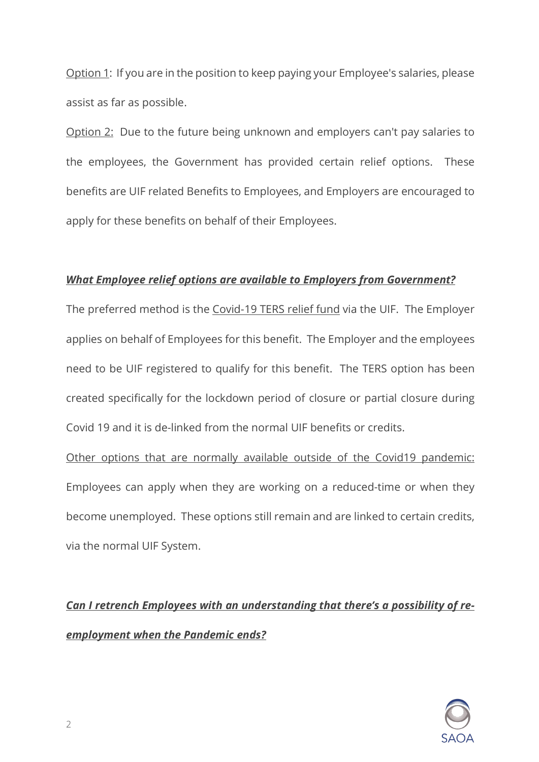Option 1: If you are in the position to keep paying your Employee's salaries, please assist as far as possible.

Option 2: Due to the future being unknown and employers can't pay salaries to the employees, the Government has provided certain relief options. These benefits are UIF related Benefits to Employees, and Employers are encouraged to apply for these benefits on behalf of their Employees.

### *What Employee relief options are available to Employers from Government?*

The preferred method is the Covid-19 TERS relief fund via the UIF. The Employer applies on behalf of Employees for this benefit. The Employer and the employees need to be UIF registered to qualify for this benefit. The TERS option has been created specifically for the lockdown period of closure or partial closure during Covid 19 and it is de-linked from the normal UIF benefits or credits.

Other options that are normally available outside of the Covid19 pandemic: Employees can apply when they are working on a reduced-time or when they become unemployed. These options still remain and are linked to certain credits, via the normal UIF System.

# *Can I retrench Employees with an understanding that there's a possibility of reemployment when the Pandemic ends?*

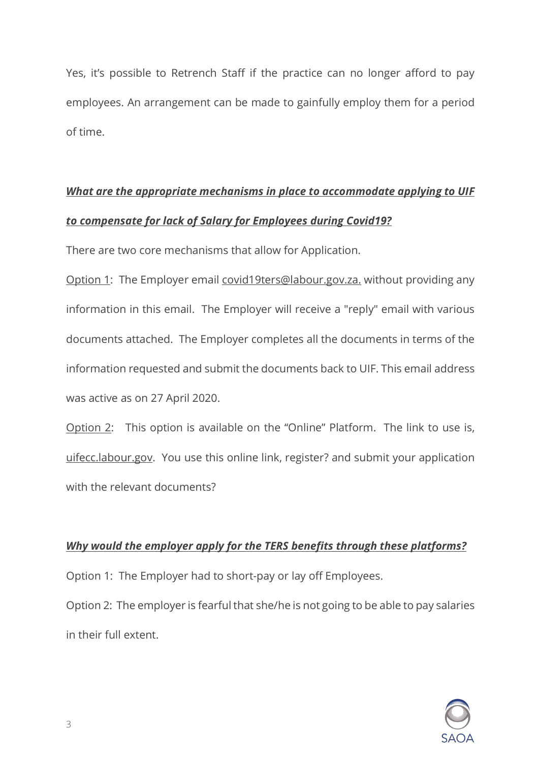Yes, it's possible to Retrench Staff if the practice can no longer afford to pay employees. An arrangement can be made to gainfully employ them for a period of time.

# *What are the appropriate mechanisms in place to accommodate applying to UIF to compensate for lack of Salary for Employees during Covid19?*

There are two core mechanisms that allow for Application.

Option 1: The Employer email covid19ters@labour.gov.za. without providing any information in this email. The Employer will receive a "reply" email with various documents attached. The Employer completes all the documents in terms of the information requested and submit the documents back to UIF. This email address was active as on 27 April 2020.

Option 2: This option is available on the "Online" Platform. The link to use is, uifecc.labour.gov. You use this online link, register? and submit your application with the relevant documents?

### *Why would the employer apply for the TERS benefits through these platforms?*

Option 1: The Employer had to short-pay or lay off Employees.

Option 2: The employer is fearful that she/he is not going to be able to pay salaries in their full extent.

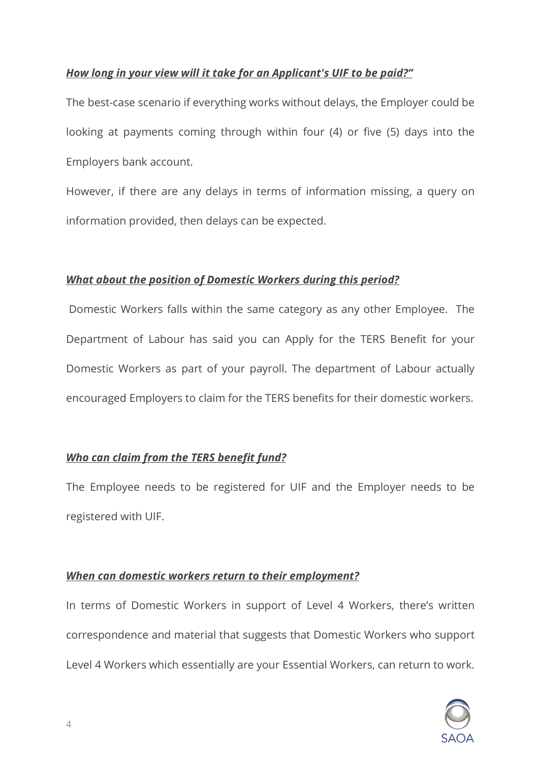### *How long in your view will it take for an Applicant's UIF to be paid?"*

The best-case scenario if everything works without delays, the Employer could be looking at payments coming through within four (4) or five (5) days into the Employers bank account.

However, if there are any delays in terms of information missing, a query on information provided, then delays can be expected.

### *What about the position of Domestic Workers during this period?*

Domestic Workers falls within the same category as any other Employee. The Department of Labour has said you can Apply for the TERS Benefit for your Domestic Workers as part of your payroll. The department of Labour actually encouraged Employers to claim for the TERS benefits for their domestic workers.

### *Who can claim from the TERS benefit fund?*

The Employee needs to be registered for UIF and the Employer needs to be registered with UIF.

### *When can domestic workers return to their employment?*

In terms of Domestic Workers in support of Level 4 Workers, there's written correspondence and material that suggests that Domestic Workers who support Level 4 Workers which essentially are your Essential Workers, can return to work.

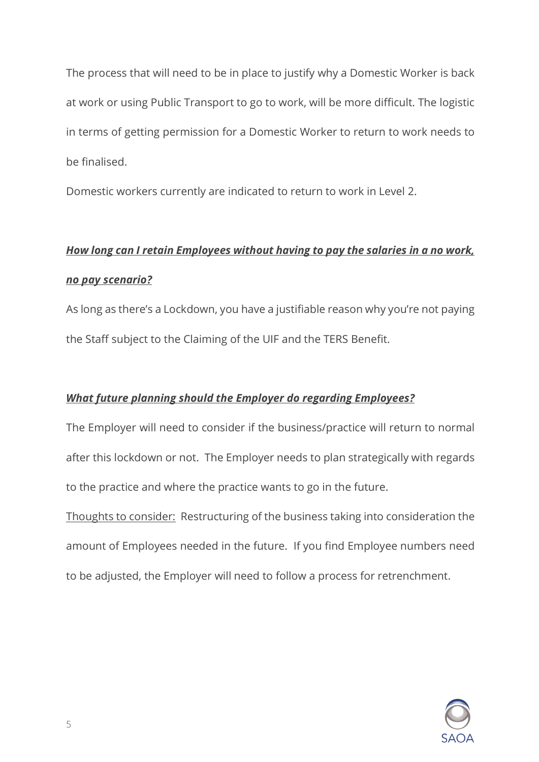The process that will need to be in place to justify why a Domestic Worker is back at work or using Public Transport to go to work, will be more difficult. The logistic in terms of getting permission for a Domestic Worker to return to work needs to be finalised.

Domestic workers currently are indicated to return to work in Level 2.

# *How long can I retain Employees without having to pay the salaries in a no work, no pay scenario?*

As long as there's a Lockdown, you have a justifiable reason why you're not paying the Staff subject to the Claiming of the UIF and the TERS Benefit.

### *What future planning should the Employer do regarding Employees?*

The Employer will need to consider if the business/practice will return to normal after this lockdown or not. The Employer needs to plan strategically with regards to the practice and where the practice wants to go in the future.

Thoughts to consider: Restructuring of the business taking into consideration the amount of Employees needed in the future. If you find Employee numbers need to be adjusted, the Employer will need to follow a process for retrenchment.

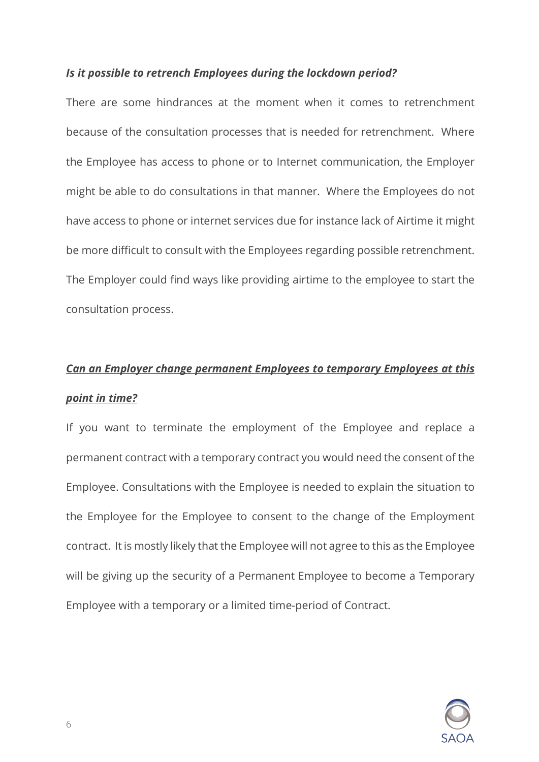#### *Is it possible to retrench Employees during the lockdown period?*

There are some hindrances at the moment when it comes to retrenchment because of the consultation processes that is needed for retrenchment. Where the Employee has access to phone or to Internet communication, the Employer might be able to do consultations in that manner. Where the Employees do not have access to phone or internet services due for instance lack of Airtime it might be more difficult to consult with the Employees regarding possible retrenchment. The Employer could find ways like providing airtime to the employee to start the consultation process.

# *Can an Employer change permanent Employees to temporary Employees at this point in time?*

If you want to terminate the employment of the Employee and replace a permanent contract with a temporary contract you would need the consent of the Employee. Consultations with the Employee is needed to explain the situation to the Employee for the Employee to consent to the change of the Employment contract. It is mostly likely that the Employee will not agree to this as the Employee will be giving up the security of a Permanent Employee to become a Temporary Employee with a temporary or a limited time-period of Contract.

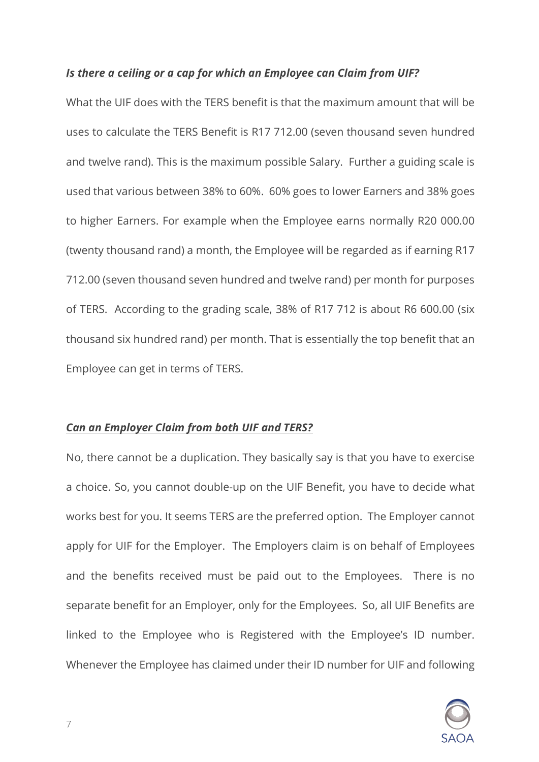#### *Is there a ceiling or a cap for which an Employee can Claim from UIF?*

What the UIF does with the TERS benefit is that the maximum amount that will be uses to calculate the TERS Benefit is R17 712.00 (seven thousand seven hundred and twelve rand). This is the maximum possible Salary. Further a guiding scale is used that various between 38% to 60%. 60% goes to lower Earners and 38% goes to higher Earners. For example when the Employee earns normally R20 000.00 (twenty thousand rand) a month, the Employee will be regarded as if earning R17 712.00 (seven thousand seven hundred and twelve rand) per month for purposes of TERS. According to the grading scale, 38% of R17 712 is about R6 600.00 (six thousand six hundred rand) per month. That is essentially the top benefit that an Employee can get in terms of TERS.

### *Can an Employer Claim from both UIF and TERS?*

No, there cannot be a duplication. They basically say is that you have to exercise a choice. So, you cannot double-up on the UIF Benefit, you have to decide what works best for you. It seems TERS are the preferred option. The Employer cannot apply for UIF for the Employer. The Employers claim is on behalf of Employees and the benefits received must be paid out to the Employees. There is no separate benefit for an Employer, only for the Employees. So, all UIF Benefits are linked to the Employee who is Registered with the Employee's ID number. Whenever the Employee has claimed under their ID number for UIF and following

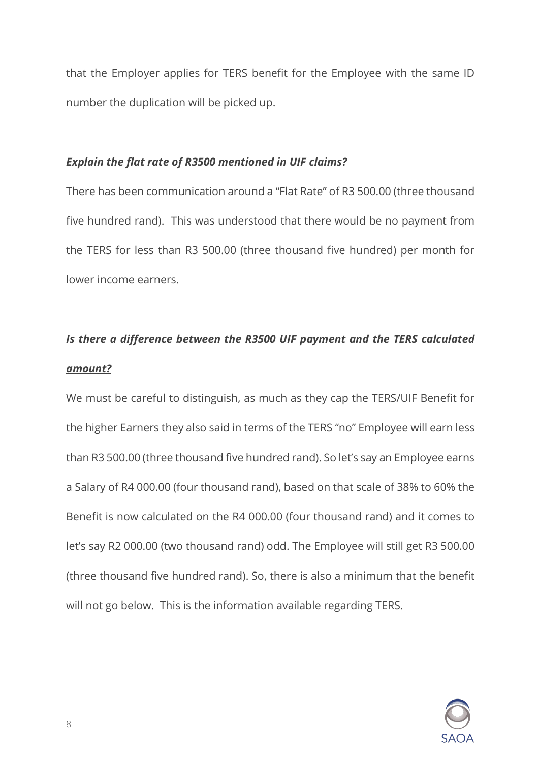that the Employer applies for TERS benefit for the Employee with the same ID number the duplication will be picked up.

### *Explain the flat rate of R3500 mentioned in UIF claims?*

There has been communication around a "Flat Rate" of R3 500.00 (three thousand five hundred rand). This was understood that there would be no payment from the TERS for less than R3 500.00 (three thousand five hundred) per month for lower income earners.

# *Is there a difference between the R3500 UIF payment and the TERS calculated amount?*

We must be careful to distinguish, as much as they cap the TERS/UIF Benefit for the higher Earners they also said in terms of the TERS "no" Employee will earn less than R3 500.00 (three thousand five hundred rand). So let's say an Employee earns a Salary of R4 000.00 (four thousand rand), based on that scale of 38% to 60% the Benefit is now calculated on the R4 000.00 (four thousand rand) and it comes to let's say R2 000.00 (two thousand rand) odd. The Employee will still get R3 500.00 (three thousand five hundred rand). So, there is also a minimum that the benefit will not go below. This is the information available regarding TERS.

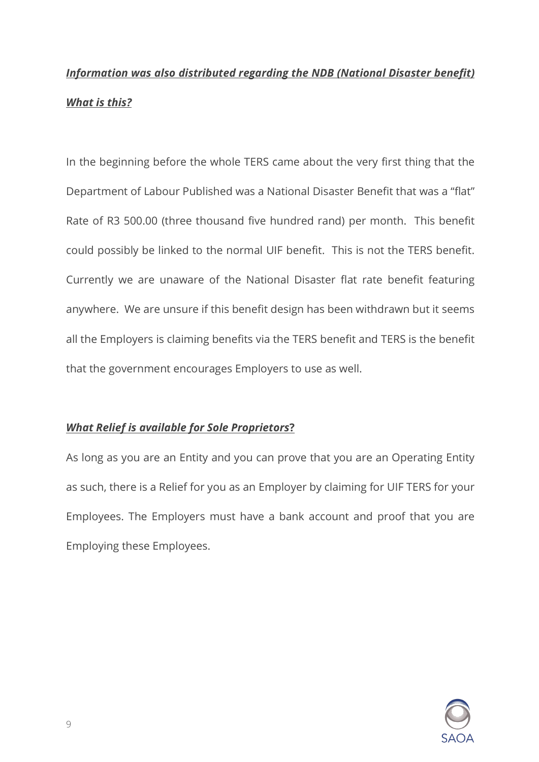# *Information was also distributed regarding the NDB (National Disaster benefit) What is this?*

In the beginning before the whole TERS came about the very first thing that the Department of Labour Published was a National Disaster Benefit that was a "flat" Rate of R3 500.00 (three thousand five hundred rand) per month. This benefit could possibly be linked to the normal UIF benefit. This is not the TERS benefit. Currently we are unaware of the National Disaster flat rate benefit featuring anywhere. We are unsure if this benefit design has been withdrawn but it seems all the Employers is claiming benefits via the TERS benefit and TERS is the benefit that the government encourages Employers to use as well.

### *What Relief is available for Sole Proprietors***?**

As long as you are an Entity and you can prove that you are an Operating Entity as such, there is a Relief for you as an Employer by claiming for UIF TERS for your Employees. The Employers must have a bank account and proof that you are Employing these Employees.

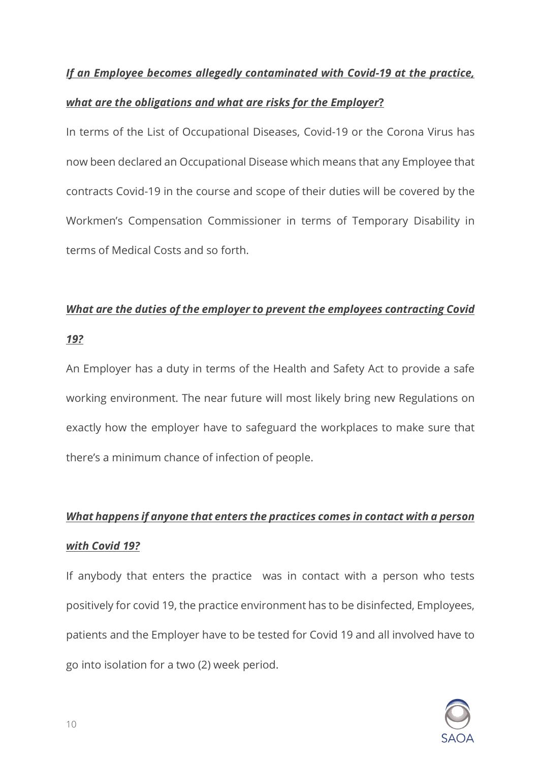### *If an Employee becomes allegedly contaminated with Covid-19 at the practice,*

### *what are the obligations and what are risks for the Employer***?**

In terms of the List of Occupational Diseases, Covid-19 or the Corona Virus has now been declared an Occupational Disease which means that any Employee that contracts Covid-19 in the course and scope of their duties will be covered by the Workmen's Compensation Commissioner in terms of Temporary Disability in terms of Medical Costs and so forth.

### *What are the duties of the employer to prevent the employees contracting Covid*

### *19?*

An Employer has a duty in terms of the Health and Safety Act to provide a safe working environment. The near future will most likely bring new Regulations on exactly how the employer have to safeguard the workplaces to make sure that there's a minimum chance of infection of people.

# *What happens if anyone that enters the practices comes in contact with a person with Covid 19?*

If anybody that enters the practice was in contact with a person who tests positively for covid 19, the practice environment has to be disinfected, Employees, patients and the Employer have to be tested for Covid 19 and all involved have to go into isolation for a two (2) week period.

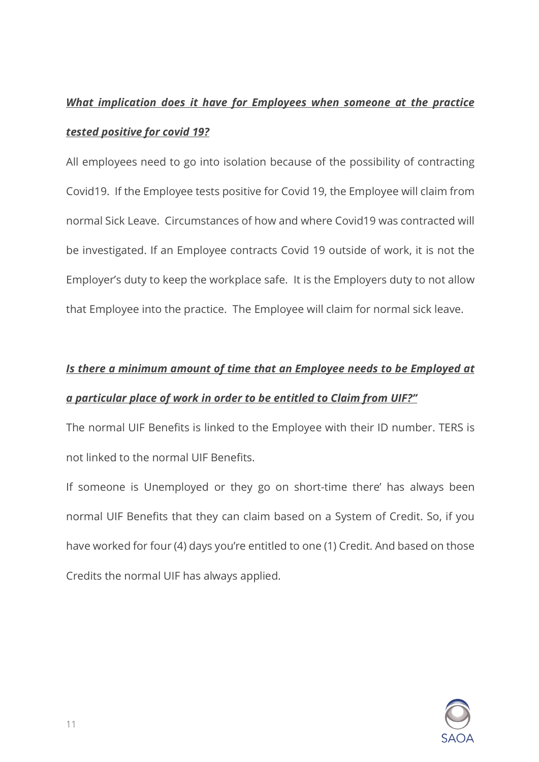# *What implication does it have for Employees when someone at the practice tested positive for covid 19?*

All employees need to go into isolation because of the possibility of contracting Covid19. If the Employee tests positive for Covid 19, the Employee will claim from normal Sick Leave. Circumstances of how and where Covid19 was contracted will be investigated. If an Employee contracts Covid 19 outside of work, it is not the Employer's duty to keep the workplace safe. It is the Employers duty to not allow that Employee into the practice. The Employee will claim for normal sick leave.

# *Is there a minimum amount of time that an Employee needs to be Employed at a particular place of work in order to be entitled to Claim from UIF?"*

The normal UIF Benefits is linked to the Employee with their ID number. TERS is not linked to the normal UIF Benefits.

If someone is Unemployed or they go on short-time there' has always been normal UIF Benefits that they can claim based on a System of Credit. So, if you have worked for four (4) days you're entitled to one (1) Credit. And based on those Credits the normal UIF has always applied.

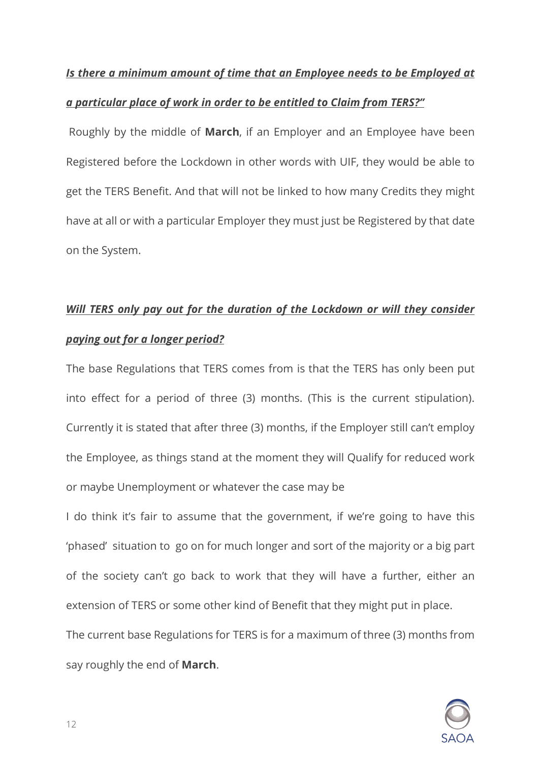# *Is there a minimum amount of time that an Employee needs to be Employed at a particular place of work in order to be entitled to Claim from TERS?"*

Roughly by the middle of **March**, if an Employer and an Employee have been Registered before the Lockdown in other words with UIF, they would be able to get the TERS Benefit. And that will not be linked to how many Credits they might have at all or with a particular Employer they must just be Registered by that date on the System.

# *Will TERS only pay out for the duration of the Lockdown or will they consider paying out for a longer period?*

The base Regulations that TERS comes from is that the TERS has only been put into effect for a period of three (3) months. (This is the current stipulation). Currently it is stated that after three (3) months, if the Employer still can't employ the Employee, as things stand at the moment they will Qualify for reduced work or maybe Unemployment or whatever the case may be

I do think it's fair to assume that the government, if we're going to have this 'phased' situation to go on for much longer and sort of the majority or a big part of the society can't go back to work that they will have a further, either an extension of TERS or some other kind of Benefit that they might put in place. The current base Regulations for TERS is for a maximum of three (3) months from

say roughly the end of **March**.

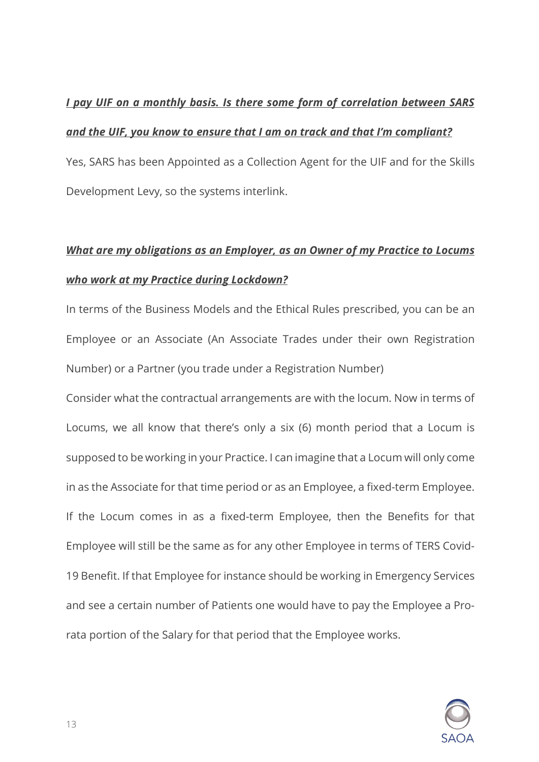### *I pay UIF on a monthly basis. Is there some form of correlation between SARS*

### *and the UIF, you know to ensure that I am on track and that I'm compliant?*

Yes, SARS has been Appointed as a Collection Agent for the UIF and for the Skills Development Levy, so the systems interlink.

# *What are my obligations as an Employer, as an Owner of my Practice to Locums who work at my Practice during Lockdown?*

In terms of the Business Models and the Ethical Rules prescribed, you can be an Employee or an Associate (An Associate Trades under their own Registration Number) or a Partner (you trade under a Registration Number)

Consider what the contractual arrangements are with the locum. Now in terms of Locums, we all know that there's only a six (6) month period that a Locum is supposed to be working in your Practice. I can imagine that a Locum will only come in as the Associate for that time period or as an Employee, a fixed-term Employee. If the Locum comes in as a fixed-term Employee, then the Benefits for that Employee will still be the same as for any other Employee in terms of TERS Covid-19 Benefit. If that Employee for instance should be working in Emergency Services and see a certain number of Patients one would have to pay the Employee a Prorata portion of the Salary for that period that the Employee works.

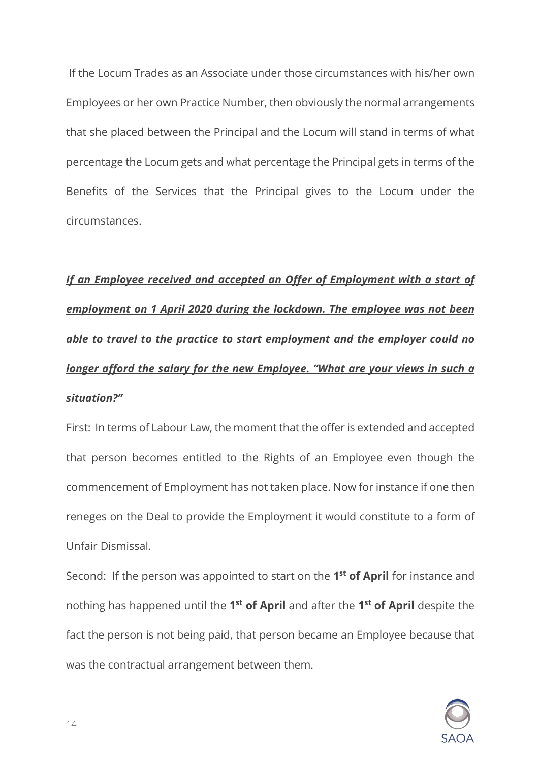If the Locum Trades as an Associate under those circumstances with his/her own Employees or her own Practice Number, then obviously the normal arrangements that she placed between the Principal and the Locum will stand in terms of what percentage the Locum gets and what percentage the Principal gets in terms of the Benefits of the Services that the Principal gives to the Locum under the circumstances.

*If an Employee received and accepted an Offer of Employment with a start of employment on 1 April 2020 during the lockdown. The employee was not been able to travel to the practice to start employment and the employer could no longer afford the salary for the new Employee. "What are your views in such a situation?"*

First: In terms of Labour Law, the moment that the offer is extended and accepted that person becomes entitled to the Rights of an Employee even though the commencement of Employment has not taken place. Now for instance if one then reneges on the Deal to provide the Employment it would constitute to a form of Unfair Dismissal.

Second: If the person was appointed to start on the **1st of April** for instance and nothing has happened until the **1st of April** and after the **1st of April** despite the fact the person is not being paid, that person became an Employee because that was the contractual arrangement between them.

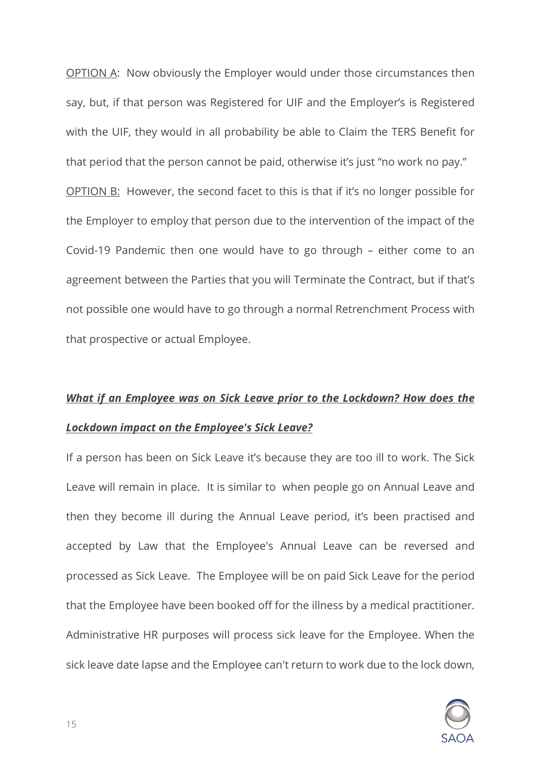OPTION A: Now obviously the Employer would under those circumstances then say, but, if that person was Registered for UIF and the Employer's is Registered with the UIF, they would in all probability be able to Claim the TERS Benefit for that period that the person cannot be paid, otherwise it's just "no work no pay." OPTION B: However, the second facet to this is that if it's no longer possible for the Employer to employ that person due to the intervention of the impact of the Covid-19 Pandemic then one would have to go through – either come to an agreement between the Parties that you will Terminate the Contract, but if that's not possible one would have to go through a normal Retrenchment Process with that prospective or actual Employee.

## *What if an Employee was on Sick Leave prior to the Lockdown? How does the Lockdown impact on the Employee's Sick Leave?*

If a person has been on Sick Leave it's because they are too ill to work. The Sick Leave will remain in place. It is similar to when people go on Annual Leave and then they become ill during the Annual Leave period, it's been practised and accepted by Law that the Employee's Annual Leave can be reversed and processed as Sick Leave. The Employee will be on paid Sick Leave for the period that the Employee have been booked off for the illness by a medical practitioner. Administrative HR purposes will process sick leave for the Employee. When the sick leave date lapse and the Employee can't return to work due to the lock down,

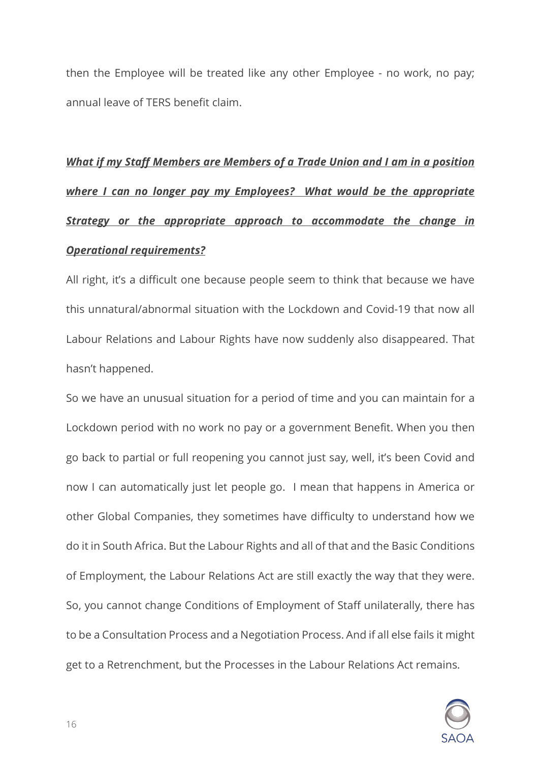then the Employee will be treated like any other Employee - no work, no pay; annual leave of TERS benefit claim.

# *What if my Staff Members are Members of a Trade Union and I am in a position where I can no longer pay my Employees? What would be the appropriate Strategy or the appropriate approach to accommodate the change in Operational requirements?*

All right, it's a difficult one because people seem to think that because we have this unnatural/abnormal situation with the Lockdown and Covid-19 that now all Labour Relations and Labour Rights have now suddenly also disappeared. That hasn't happened.

So we have an unusual situation for a period of time and you can maintain for a Lockdown period with no work no pay or a government Benefit. When you then go back to partial or full reopening you cannot just say, well, it's been Covid and now I can automatically just let people go. I mean that happens in America or other Global Companies, they sometimes have difficulty to understand how we do it in South Africa. But the Labour Rights and all of that and the Basic Conditions of Employment, the Labour Relations Act are still exactly the way that they were. So, you cannot change Conditions of Employment of Staff unilaterally, there has to be a Consultation Process and a Negotiation Process. And if all else fails it might get to a Retrenchment, but the Processes in the Labour Relations Act remains.

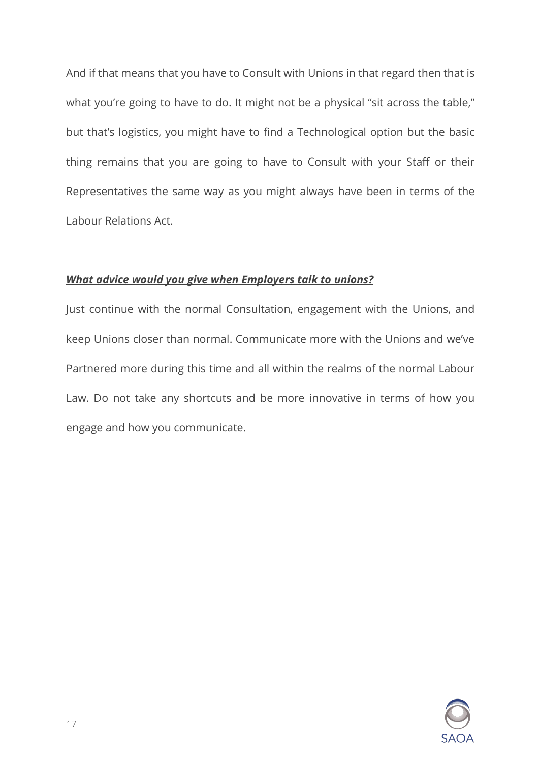And if that means that you have to Consult with Unions in that regard then that is what you're going to have to do. It might not be a physical "sit across the table," but that's logistics, you might have to find a Technological option but the basic thing remains that you are going to have to Consult with your Staff or their Representatives the same way as you might always have been in terms of the Labour Relations Act.

### *What advice would you give when Employers talk to unions?*

Just continue with the normal Consultation, engagement with the Unions, and keep Unions closer than normal. Communicate more with the Unions and we've Partnered more during this time and all within the realms of the normal Labour Law. Do not take any shortcuts and be more innovative in terms of how you engage and how you communicate.

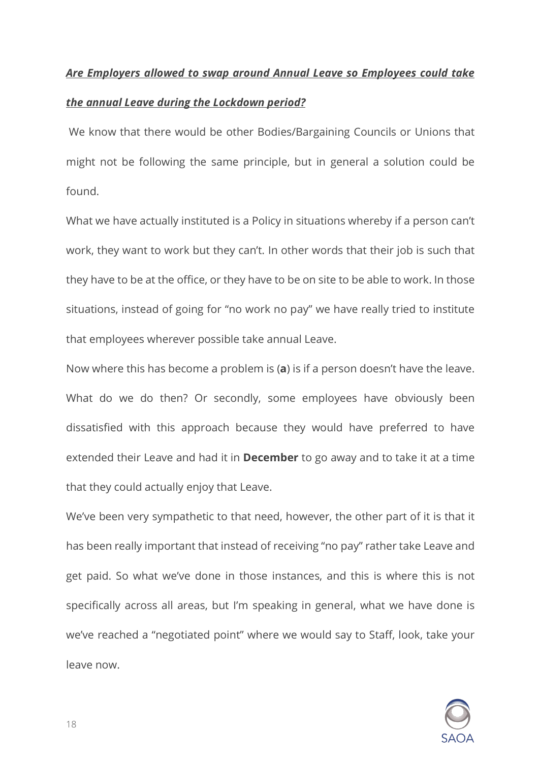# *Are Employers allowed to swap around Annual Leave so Employees could take*

### *the annual Leave during the Lockdown period?*

We know that there would be other Bodies/Bargaining Councils or Unions that might not be following the same principle, but in general a solution could be found.

What we have actually instituted is a Policy in situations whereby if a person can't work, they want to work but they can't. In other words that their job is such that they have to be at the office, or they have to be on site to be able to work. In those situations, instead of going for "no work no pay" we have really tried to institute that employees wherever possible take annual Leave.

Now where this has become a problem is (**a**) is if a person doesn't have the leave. What do we do then? Or secondly, some employees have obviously been dissatisfied with this approach because they would have preferred to have extended their Leave and had it in **December** to go away and to take it at a time that they could actually enjoy that Leave.

We've been very sympathetic to that need, however, the other part of it is that it has been really important that instead of receiving "no pay" rather take Leave and get paid. So what we've done in those instances, and this is where this is not specifically across all areas, but I'm speaking in general, what we have done is we've reached a "negotiated point" where we would say to Staff, look, take your leave now.



18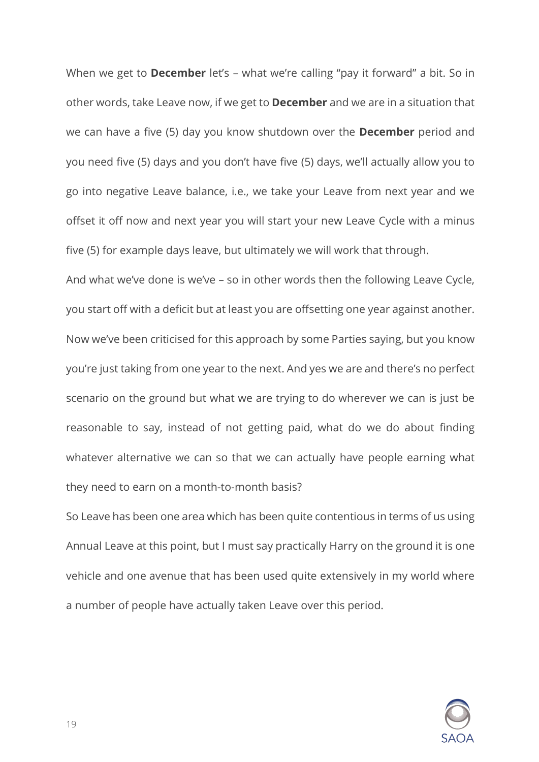When we get to **December** let's – what we're calling "pay it forward" a bit. So in other words, take Leave now, if we get to **December** and we are in a situation that we can have a five (5) day you know shutdown over the **December** period and you need five (5) days and you don't have five (5) days, we'll actually allow you to go into negative Leave balance, i.e., we take your Leave from next year and we offset it off now and next year you will start your new Leave Cycle with a minus five (5) for example days leave, but ultimately we will work that through.

And what we've done is we've – so in other words then the following Leave Cycle, you start off with a deficit but at least you are offsetting one year against another. Now we've been criticised for this approach by some Parties saying, but you know you're just taking from one year to the next. And yes we are and there's no perfect scenario on the ground but what we are trying to do wherever we can is just be reasonable to say, instead of not getting paid, what do we do about finding whatever alternative we can so that we can actually have people earning what they need to earn on a month-to-month basis?

So Leave has been one area which has been quite contentious in terms of us using Annual Leave at this point, but I must say practically Harry on the ground it is one vehicle and one avenue that has been used quite extensively in my world where a number of people have actually taken Leave over this period.

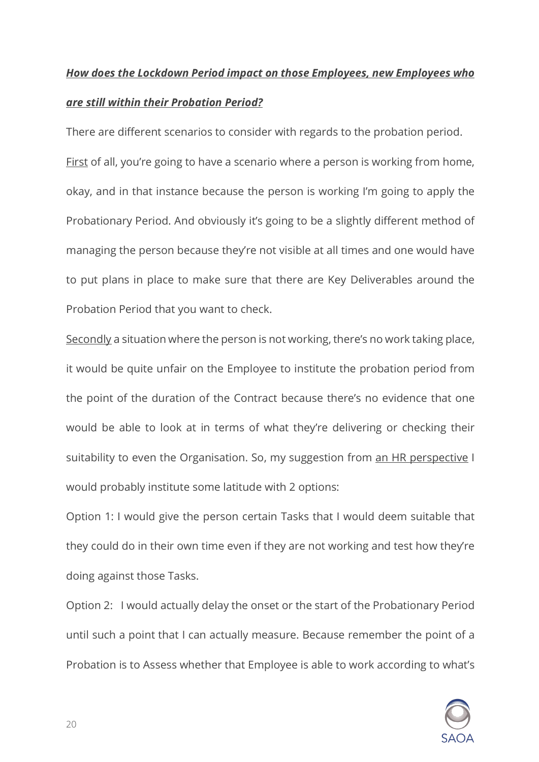### *How does the Lockdown Period impact on those Employees, new Employees who*

### *are still within their Probation Period?*

There are different scenarios to consider with regards to the probation period. First of all, you're going to have a scenario where a person is working from home, okay, and in that instance because the person is working I'm going to apply the Probationary Period. And obviously it's going to be a slightly different method of managing the person because they're not visible at all times and one would have to put plans in place to make sure that there are Key Deliverables around the Probation Period that you want to check.

Secondly a situation where the person is not working, there's no work taking place, it would be quite unfair on the Employee to institute the probation period from the point of the duration of the Contract because there's no evidence that one would be able to look at in terms of what they're delivering or checking their suitability to even the Organisation. So, my suggestion from an HR perspective I would probably institute some latitude with 2 options:

Option 1: I would give the person certain Tasks that I would deem suitable that they could do in their own time even if they are not working and test how they're doing against those Tasks.

Option 2: I would actually delay the onset or the start of the Probationary Period until such a point that I can actually measure. Because remember the point of a Probation is to Assess whether that Employee is able to work according to what's

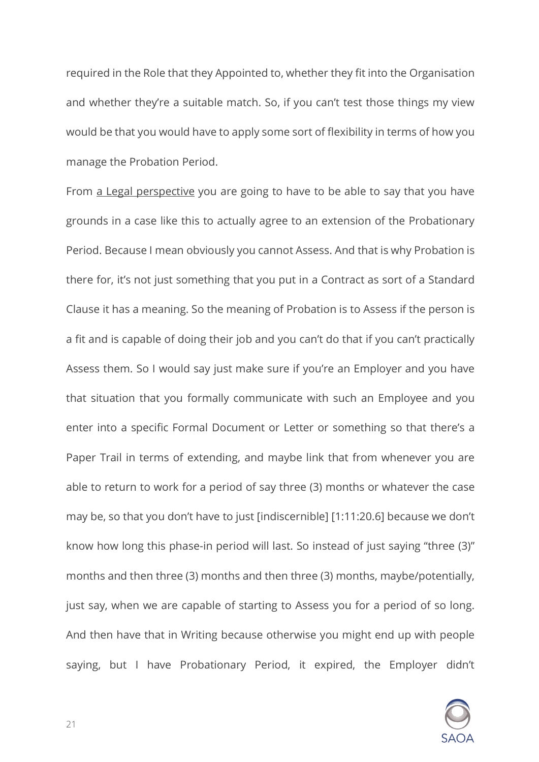required in the Role that they Appointed to, whether they fit into the Organisation and whether they're a suitable match. So, if you can't test those things my view would be that you would have to apply some sort of flexibility in terms of how you manage the Probation Period.

From a Legal perspective you are going to have to be able to say that you have grounds in a case like this to actually agree to an extension of the Probationary Period. Because I mean obviously you cannot Assess. And that is why Probation is there for, it's not just something that you put in a Contract as sort of a Standard Clause it has a meaning. So the meaning of Probation is to Assess if the person is a fit and is capable of doing their job and you can't do that if you can't practically Assess them. So I would say just make sure if you're an Employer and you have that situation that you formally communicate with such an Employee and you enter into a specific Formal Document or Letter or something so that there's a Paper Trail in terms of extending, and maybe link that from whenever you are able to return to work for a period of say three (3) months or whatever the case may be, so that you don't have to just [indiscernible] [1:11:20.6] because we don't know how long this phase-in period will last. So instead of just saying "three (3)" months and then three (3) months and then three (3) months, maybe/potentially, just say, when we are capable of starting to Assess you for a period of so long. And then have that in Writing because otherwise you might end up with people saying, but I have Probationary Period, it expired, the Employer didn't

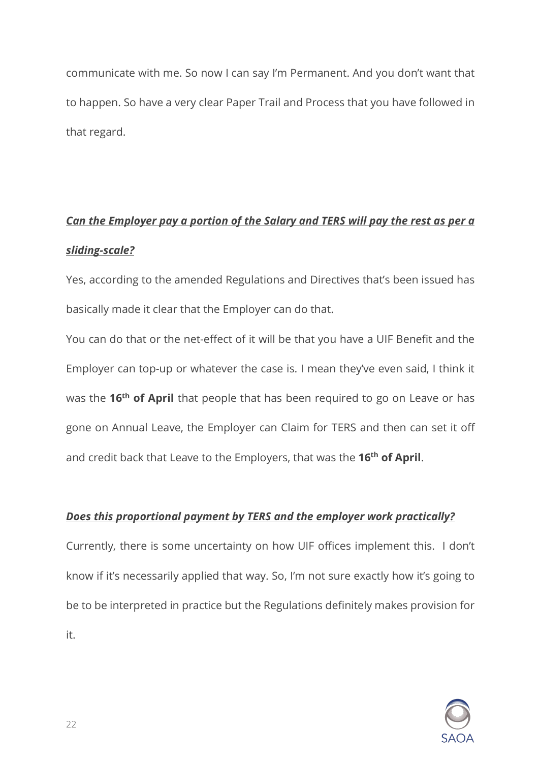communicate with me. So now I can say I'm Permanent. And you don't want that to happen. So have a very clear Paper Trail and Process that you have followed in that regard.

# *Can the Employer pay a portion of the Salary and TERS will pay the rest as per a sliding-scale?*

Yes, according to the amended Regulations and Directives that's been issued has basically made it clear that the Employer can do that.

You can do that or the net-effect of it will be that you have a UIF Benefit and the Employer can top-up or whatever the case is. I mean they've even said, I think it was the **16th of April** that people that has been required to go on Leave or has gone on Annual Leave, the Employer can Claim for TERS and then can set it off and credit back that Leave to the Employers, that was the **16th of April**.

### *Does this proportional payment by TERS and the employer work practically?*

Currently, there is some uncertainty on how UIF offices implement this. I don't know if it's necessarily applied that way. So, I'm not sure exactly how it's going to be to be interpreted in practice but the Regulations definitely makes provision for it.

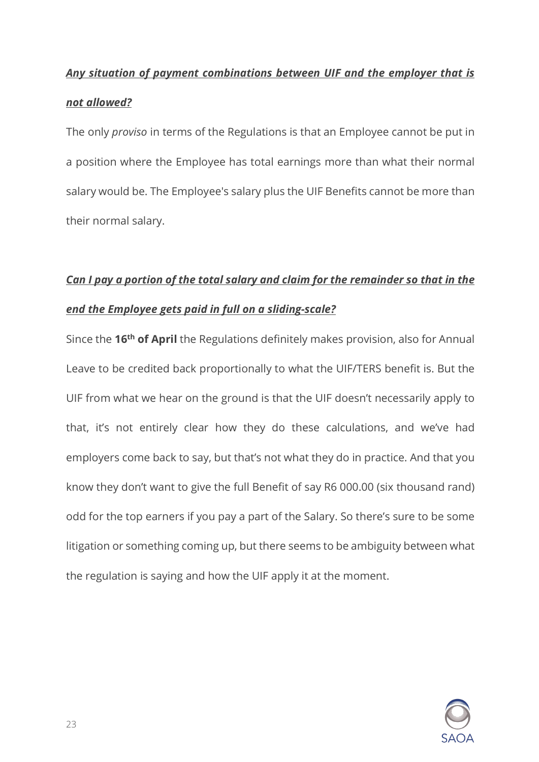### *Any situation of payment combinations between UIF and the employer that is*

### *not allowed?*

The only *proviso* in terms of the Regulations is that an Employee cannot be put in a position where the Employee has total earnings more than what their normal salary would be. The Employee's salary plus the UIF Benefits cannot be more than their normal salary.

# *Can I pay a portion of the total salary and claim for the remainder so that in the end the Employee gets paid in full on a sliding-scale?*

Since the **16th of April** the Regulations definitely makes provision, also for Annual Leave to be credited back proportionally to what the UIF/TERS benefit is. But the UIF from what we hear on the ground is that the UIF doesn't necessarily apply to that, it's not entirely clear how they do these calculations, and we've had employers come back to say, but that's not what they do in practice. And that you know they don't want to give the full Benefit of say R6 000.00 (six thousand rand) odd for the top earners if you pay a part of the Salary. So there's sure to be some litigation or something coming up, but there seems to be ambiguity between what the regulation is saying and how the UIF apply it at the moment.

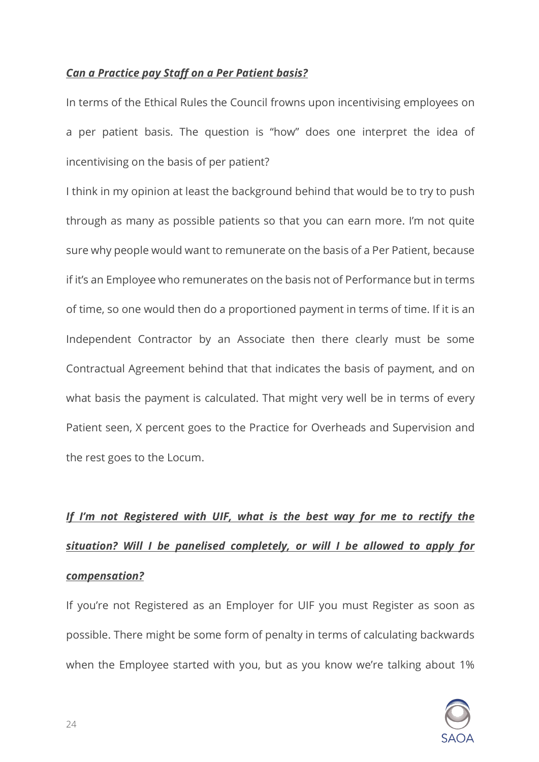### *Can a Practice pay Staff on a Per Patient basis?*

In terms of the Ethical Rules the Council frowns upon incentivising employees on a per patient basis. The question is "how" does one interpret the idea of incentivising on the basis of per patient?

I think in my opinion at least the background behind that would be to try to push through as many as possible patients so that you can earn more. I'm not quite sure why people would want to remunerate on the basis of a Per Patient, because if it's an Employee who remunerates on the basis not of Performance but in terms of time, so one would then do a proportioned payment in terms of time. If it is an Independent Contractor by an Associate then there clearly must be some Contractual Agreement behind that that indicates the basis of payment, and on what basis the payment is calculated. That might very well be in terms of every Patient seen, X percent goes to the Practice for Overheads and Supervision and the rest goes to the Locum.

# *If I'm not Registered with UIF, what is the best way for me to rectify the situation? Will I be panelised completely, or will I be allowed to apply for compensation?*

If you're not Registered as an Employer for UIF you must Register as soon as possible. There might be some form of penalty in terms of calculating backwards when the Employee started with you, but as you know we're talking about 1%

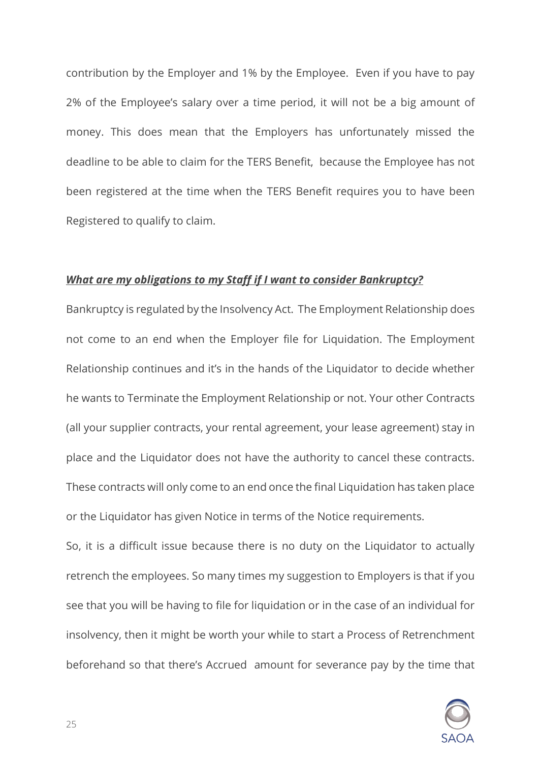contribution by the Employer and 1% by the Employee. Even if you have to pay 2% of the Employee's salary over a time period, it will not be a big amount of money. This does mean that the Employers has unfortunately missed the deadline to be able to claim for the TERS Benefit, because the Employee has not been registered at the time when the TERS Benefit requires you to have been Registered to qualify to claim.

#### *What are my obligations to my Staff if I want to consider Bankruptcy?*

Bankruptcy is regulated by the Insolvency Act. The Employment Relationship does not come to an end when the Employer file for Liquidation. The Employment Relationship continues and it's in the hands of the Liquidator to decide whether he wants to Terminate the Employment Relationship or not. Your other Contracts (all your supplier contracts, your rental agreement, your lease agreement) stay in place and the Liquidator does not have the authority to cancel these contracts. These contracts will only come to an end once the final Liquidation has taken place or the Liquidator has given Notice in terms of the Notice requirements.

So, it is a difficult issue because there is no duty on the Liquidator to actually retrench the employees. So many times my suggestion to Employers is that if you see that you will be having to file for liquidation or in the case of an individual for insolvency, then it might be worth your while to start a Process of Retrenchment beforehand so that there's Accrued amount for severance pay by the time that

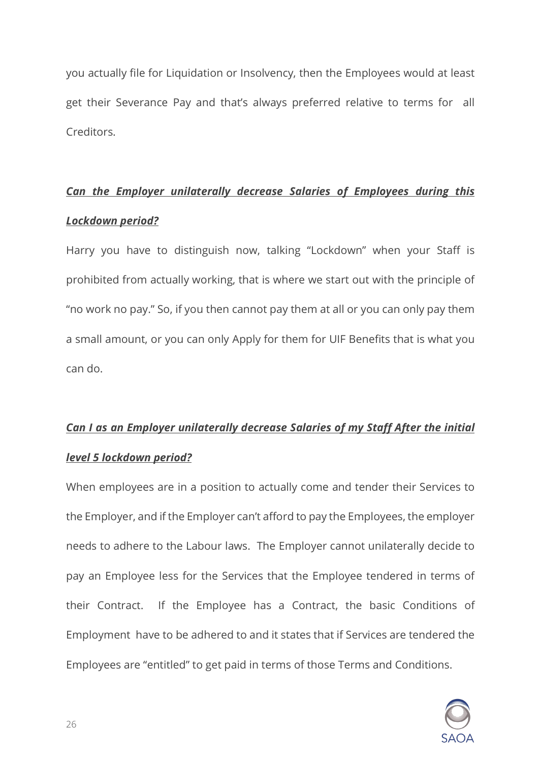you actually file for Liquidation or Insolvency, then the Employees would at least get their Severance Pay and that's always preferred relative to terms for all Creditors.

# *Can the Employer unilaterally decrease Salaries of Employees during this Lockdown period?*

Harry you have to distinguish now, talking "Lockdown" when your Staff is prohibited from actually working, that is where we start out with the principle of "no work no pay." So, if you then cannot pay them at all or you can only pay them a small amount, or you can only Apply for them for UIF Benefits that is what you can do.

# *Can I as an Employer unilaterally decrease Salaries of my Staff After the initial level 5 lockdown period?*

When employees are in a position to actually come and tender their Services to the Employer, and if the Employer can't afford to pay the Employees, the employer needs to adhere to the Labour laws. The Employer cannot unilaterally decide to pay an Employee less for the Services that the Employee tendered in terms of their Contract. If the Employee has a Contract, the basic Conditions of Employment have to be adhered to and it states that if Services are tendered the Employees are "entitled" to get paid in terms of those Terms and Conditions.

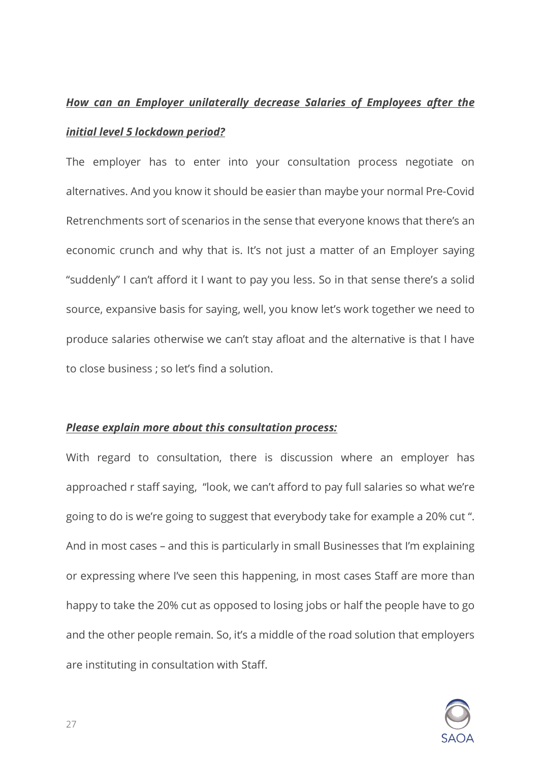# *How can an Employer unilaterally decrease Salaries of Employees after the initial level 5 lockdown period?*

The employer has to enter into your consultation process negotiate on alternatives. And you know it should be easier than maybe your normal Pre-Covid Retrenchments sort of scenarios in the sense that everyone knows that there's an economic crunch and why that is. It's not just a matter of an Employer saying "suddenly" I can't afford it I want to pay you less. So in that sense there's a solid source, expansive basis for saying, well, you know let's work together we need to produce salaries otherwise we can't stay afloat and the alternative is that I have to close business ; so let's find a solution.

### *Please explain more about this consultation process:*

With regard to consultation, there is discussion where an employer has approached r staff saying, "look, we can't afford to pay full salaries so what we're going to do is we're going to suggest that everybody take for example a 20% cut ". And in most cases – and this is particularly in small Businesses that I'm explaining or expressing where I've seen this happening, in most cases Staff are more than happy to take the 20% cut as opposed to losing jobs or half the people have to go and the other people remain. So, it's a middle of the road solution that employers are instituting in consultation with Staff.